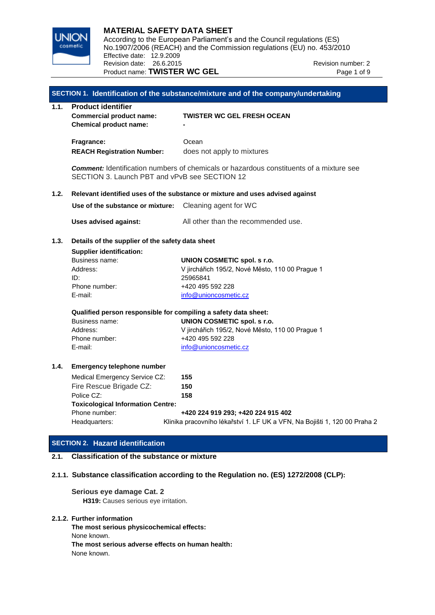

## **MATERIAL SAFETY DATA SHEET**

**INION** According to the European Parliament's and the Council regulations (ES) No.1907/2006 (REACH) and the Commission regulations (EU) no. 453/2010 Effective date: 12.9.2009 Revision date: 26.6.2015 Revision number: 2 Product name: **TWISTER WC GEL** Product name: **TWISTER WC GEL** 

# **SECTION 1. Identification of the substance/mixture and of the company/undertaking 1.1. Product identifier Commercial product name: TWISTER WC GEL FRESH OCEAN Chemical product name: - Fragrance:** Ocean **REACH Registration Number:** does not apply to mixtures *Comment:* Identification numbers of chemicals or hazardous constituents of a mixture see SECTION 3. Launch PBT and vPvB see SECTION 12 **1.2. Relevant identified uses of the substance or mixture and uses advised against Use of the substance or mixture:** Cleaning agent for WC **Uses advised against:** All other than the recommended use. **1.3. Details of the supplier of the safety data sheet Supplier identification:** Business name: **UNION COSMETIC spol. s r.o.** Address: V jirchářich 195/2, Nové Město, 110 00 Prague 1 ID: 25965841 Phone number: +420 495 592 228 E-mail: [info@unioncosmetic.cz](mailto:info@unioncosmetic.cz) **Qualified person responsible for compiling a safety data sheet:** Business name: **UNION COSMETIC spol. s r.o.** Address: V jirchářich 195/2, Nové Město, 110 00 Prague 1 Phone number: +420 495 592 228 E-mail: [info@unioncosmetic.cz](mailto:info@unioncosmetic.cz) **1.4. Emergency telephone number** Medical Emergency Service CZ: **155** Fire Rescue Brigade CZ: **150** Police CZ: **158 Toxicological Information Centre:** Phone number: **+420 224 919 293; +420 224 915 402** Headquarters: Klinika pracovního lékařství 1. LF UK a VFN, Na Bojišti 1, 120 00 Praha 2

## **SECTION 2. Hazard identification**

## **2.1. Classification of the substance or mixture**

## **2.1.1. Substance classification according to the Regulation no. (ES) 1272/2008 (CLP):**

# **Serious eye damage Cat. 2**

**H319:** Causes serious eye irritation.

## **2.1.2. Further information**

**The most serious physicochemical effects:** None known. **The most serious adverse effects on human health:** None known.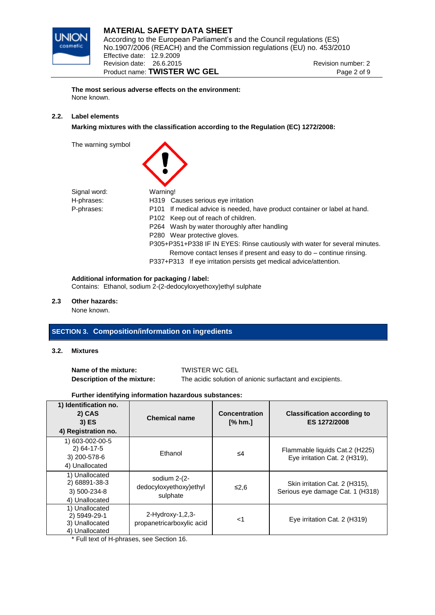

## **MATERIAL SAFETY DATA SHEET**  $\overline{MN}$  According to the European Parliament's and the Council regulations (ES) No.1907/2006 (REACH) and the Commission regulations (EU) no. 453/2010 Effective date: 12.9.2009 Revision date: 26.6.2015 Revision number: 2 Product name: **TWISTER WC GEL** Product name: **TWISTER WC GEL**

**The most serious adverse effects on the environment:** None known.

## **2.2. Label elements**

**Marking mixtures with the classification according to the Regulation (EC) 1272/2008:**

The warning symbol

| Signal word: | Warning!                                                                    |
|--------------|-----------------------------------------------------------------------------|
| H-phrases:   | H319 Causes serious eye irritation                                          |
| P-phrases:   | P101 If medical advice is needed, have product container or label at hand.  |
|              | P102 Keep out of reach of children.                                         |
|              | P264 Wash by water thoroughly after handling                                |
|              | P280 Wear protective gloves.                                                |
|              | P305+P351+P338 IF IN EYES: Rinse cautiously with water for several minutes. |
|              | Remove contact lenses if present and easy to do – continue rinsing.         |
|              | P337+P313 If eye irritation persists get medical advice/attention.          |

#### **Additional information for packaging / label:**

Contains: Ethanol, sodium 2-(2-dedocyloxyethoxy)ethyl sulphate

### **2.3 Other hazards:**

None known.

## **SECTION 3. Composition/information on ingredients**

**3.2. Mixtures**

**Name of the mixture:** TWISTER WC GEL

**Description of the mixture:** The acidic solution of anionic surfactant and excipients.

## **Further identifying information hazardous substances:**

| 1) Identification no.<br>2) CAS<br>$3)$ ES<br>4) Registration no.  | <b>Chemical name</b>                                 | <b>Concentration</b><br>$[%$ hm. | <b>Classification according to</b><br>ES 1272/2008                 |
|--------------------------------------------------------------------|------------------------------------------------------|----------------------------------|--------------------------------------------------------------------|
| 1) 603-002-00-5<br>2) 64-17-5<br>3) 200-578-6<br>4) Unallocated    | Ethanol                                              | ≤4                               | Flammable liquids Cat.2 (H225)<br>Eye irritation Cat. 2 (H319),    |
| 1) Unallocated<br>2) 68891-38-3<br>3) 500-234-8<br>4) Unallocated  | sodium $2-(2-$<br>dedocyloxyethoxy)ethyl<br>sulphate | ≤2,6                             | Skin irritation Cat. 2 (H315),<br>Serious eye damage Cat. 1 (H318) |
| 1) Unallocated<br>2) 5949-29-1<br>3) Unallocated<br>4) Unallocated | $2-Hydroxy-1,2,3-$<br>propanetricarboxylic acid      | ا>                               | Eye irritation Cat. 2 (H319)                                       |

\* Full text of H-phrases, see Section 16.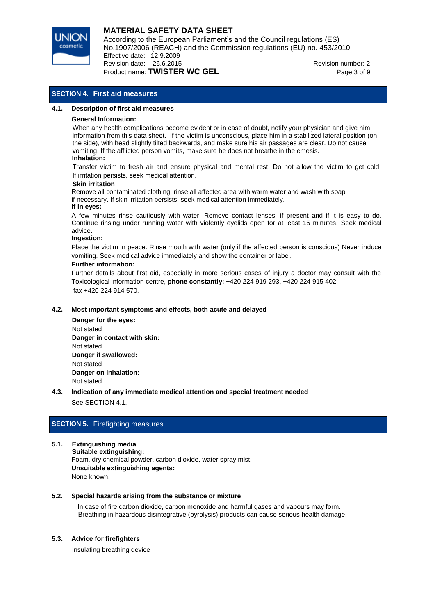

# **MATERIAL SAFETY DATA SHEET**

**INION** According to the European Parliament's and the Council regulations (ES) No.1907/2006 (REACH) and the Commission regulations (EU) no. 453/2010 Effective date: 12.9.2009 Revision date: 26.6.2015 Revision number: 2

## Product name: **TWISTER WC GEL** Product name: **TWISTER WC GEL**

## **SECTION 4. First aid measures**

#### **4.1. Description of first aid measures**

#### **General Information:**

When any health complications become evident or in case of doubt, notify your physician and give him information from this data sheet. If the victim is unconscious, place him in a stabilized lateral position (on the side), with head slightly tilted backwards, and make sure his air passages are clear. Do not cause vomiting. If the afflicted person vomits, make sure he does not breathe in the emesis.

#### **Inhalation:**

Transfer victim to fresh air and ensure physical and mental rest. Do not allow the victim to get cold. If irritation persists, seek medical attention.

#### **Skin irritation**

Remove all contaminated clothing, rinse all affected area with warm water and wash with soap if necessary. If skin irritation persists, seek medical attention immediately.

## **If in eyes:**

A few minutes rinse cautiously with water. Remove contact lenses, if present and if it is easy to do. Continue rinsing under running water with violently eyelids open for at least 15 minutes. Seek medical advice.

#### **Ingestion:**

Place the victim in peace. Rinse mouth with water (only if the affected person is conscious) Never induce vomiting. Seek medical advice immediately and show the container or label.

#### **Further information:**

Further details about first aid, especially in more serious cases of injury a doctor may consult with the Toxicological information centre, **phone constantly:** +420 224 919 293, +420 224 915 402, fax +420 224 914 570.

## **4.2. Most important symptoms and effects, both acute and delayed**

- **Danger for the eyes:** Not stated  **Danger in contact with skin:** Not stated  **Danger if swallowed:** Not stated  **Danger on inhalation:** Not stated
- **4.3. Indication of any immediate medical attention and special treatment needed** See SECTION 4.1.

## **SECTION 5.** Firefighting measures

#### **5.1. Extinguishing media**

 **Suitable extinguishing:** Foam, dry chemical powder, carbon dioxide, water spray mist. **Unsuitable extinguishing agents:** None known.

#### **5.2. Special hazards arising from the substance or mixture**

In case of fire carbon dioxide, carbon monoxide and harmful gases and vapours may form. Breathing in hazardous disintegrative (pyrolysis) products can cause serious health damage.

## **5.3. Advice for firefighters**

Insulating breathing device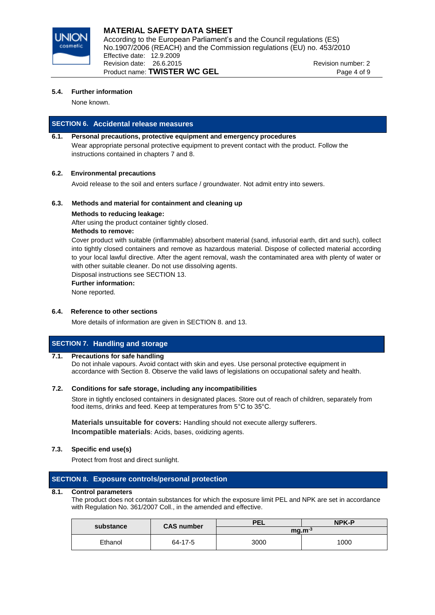

## **MATERIAL SAFETY DATA SHEET** According to the European Parliament's and the Council regulations (ES) No.1907/2006 (REACH) and the Commission regulations (EU) no. 453/2010

Effective date: 12.9.2009 Revision date: 26.6.2015 Revision number: 2 Product name: **TWISTER WC GEL** Product name 4 of 9

## **5.4. Further information**

None known.

# **SECTION 6. Accidental release measures**

## **6.1. Personal precautions, protective equipment and emergency procedures**  Wear appropriate personal protective equipment to prevent contact with the product. Follow the instructions contained in chapters 7 and 8.

## **6.2. Environmental precautions**

Avoid release to the soil and enters surface / groundwater. Not admit entry into sewers.

## **6.3. Methods and material for containment and cleaning up**

## **Methods to reducing leakage:**

After using the product container tightly closed.

## **Methods to remove:**

Cover product with suitable (inflammable) absorbent material (sand, infusorial earth, dirt and such), collect into tightly closed containers and remove as hazardous material. Dispose of collected material according to your local lawful directive. After the agent removal, wash the contaminated area with plenty of water or with other suitable cleaner. Do not use dissolving agents.

Disposal instructions see SECTION 13.

## **Further information:**

None reported.

## **6.4. Reference to other sections**

More details of information are given in SECTION 8. and 13.

# **SECTION 7. Handling and storage**

## **7.1. Precautions for safe handling**

Do not inhale vapours. Avoid contact with skin and eyes. Use personal protective equipment in accordance with Section 8. Observe the valid laws of legislations on occupational safety and health.

## **7.2. Conditions for safe storage, including any incompatibilities**

Store in tightly enclosed containers in designated places. Store out of reach of children, separately from food items, drinks and feed. Keep at temperatures from 5°C to 35°C.

**Materials unsuitable for covers:** Handling should not execute allergy sufferers. **Incompatible materials**: Acids, bases, oxidizing agents.

## **7.3. Specific end use(s)**

Protect from frost and direct sunlight.

## **SECTION 8. Exposure controls/personal protection**

## **8.1. Control parameters**

The product does not contain substances for which the exposure limit PEL and NPK are set in accordance with Regulation No. 361/2007 Coll., in the amended and effective.

| substance | <b>CAS number</b> | <b>PEL</b> | <b>NPK-P</b> |
|-----------|-------------------|------------|--------------|
|           |                   | $mq.m-3$   |              |
| Ethanol   | 64-17-5           | 3000       | 1000         |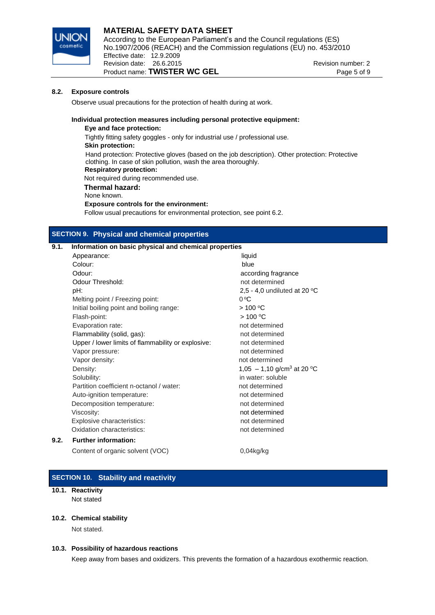

## **MATERIAL SAFETY DATA SHEET**  $\overline{MN}$  According to the European Parliament's and the Council regulations (ES) No.1907/2006 (REACH) and the Commission regulations (EU) no. 453/2010 Effective date: 12.9.2009 Revision date: 26.6.2015 Revision number: 2 Product name: **TWISTER WC GEL** Product name: **TWISTER WC GEL**

#### **8.2. Exposure controls**

Observe usual precautions for the protection of health during at work.

#### **Individual protection measures including personal protective equipment:**

**Eye and face protection:** Tightly fitting safety goggles - only for industrial use / professional use. **Skin protection:** Hand protection: Protective gloves (based on the job description). Other protection: Protective clothing. In case of skin pollution, wash the area thoroughly. **Respiratory protection:** Not required during recommended use.  **Thermal hazard:** None known. **Exposure controls for the environment:** Follow usual precautions for environmental protection, see point 6.2.

## **SECTION 9. Physical and chemical properties**

## **9.1. Information on basic physical and chemical properties**

| Appearance:                                        | liquid                                 |
|----------------------------------------------------|----------------------------------------|
| Colour:                                            | blue                                   |
| Odour:                                             | according fragrance                    |
| Odour Threshold:                                   | not determined                         |
| pH:                                                | 2,5 - 4,0 undiluted at 20 $^{\circ}$ C |
| Melting point / Freezing point:                    | $0^{\circ}C$                           |
| Initial boiling point and boiling range:           | $>100^{\circ}$ C                       |
| Flash-point:                                       | $>100^{\circ}$ C                       |
| Evaporation rate:                                  | not determined                         |
| Flammability (solid, gas):                         | not determined                         |
| Upper / lower limits of flammability or explosive: | not determined                         |
| Vapor pressure:                                    | not determined                         |
| Vapor density:                                     | not determined                         |
| Density:                                           | 1,05 - 1,10 g/cm <sup>3</sup> at 20 °C |
| Solubility:                                        | in water: soluble                      |
| Partition coefficient n-octanol / water:           | not determined                         |
| Auto-ignition temperature:                         | not determined                         |
| Decomposition temperature:                         | not determined                         |
| Viscosity:                                         | not determined                         |
| Explosive characteristics:                         | not determined                         |
| Oxidation characteristics:                         | not determined                         |
| <b>Further information:</b>                        |                                        |

Content of organic solvent (VOC) 0,04kg/kg

## **SECTION 10. Stability and reactivity**

## **10.1. Reactivity**

**9.2. Further information:**

Not stated

#### **10.2. Chemical stability**

Not stated.

#### **10.3. Possibility of hazardous reactions**

Keep away from bases and oxidizers. This prevents the formation of a hazardous exothermic reaction.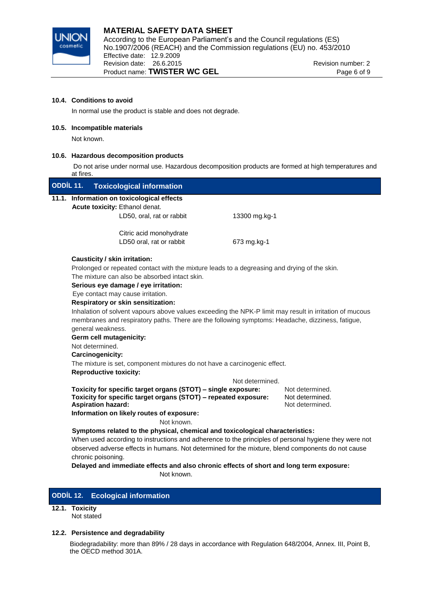

#### **10.4. Conditions to avoid**

In normal use the product is stable and does not degrade.

## **10.5. Incompatible materials**

Not known.

## **10.6. Hazardous decomposition products**

Do not arise under normal use. Hazardous decomposition products are formed at high temperatures and at fires.

| ODDÍL 11. | <b>Toxicological information</b>                                                                                        |                 |                 |  |  |
|-----------|-------------------------------------------------------------------------------------------------------------------------|-----------------|-----------------|--|--|
|           | 11.1. Information on toxicological effects                                                                              |                 |                 |  |  |
|           | Acute toxicity: Ethanol denat.                                                                                          |                 |                 |  |  |
|           | LD50, oral, rat or rabbit                                                                                               | 13300 mg.kg-1   |                 |  |  |
|           |                                                                                                                         |                 |                 |  |  |
|           | Citric acid monohydrate                                                                                                 |                 |                 |  |  |
|           | LD50 oral, rat or rabbit                                                                                                | 673 mg.kg-1     |                 |  |  |
|           | Causticity / skin irritation:                                                                                           |                 |                 |  |  |
|           | Prolonged or repeated contact with the mixture leads to a degreasing and drying of the skin.                            |                 |                 |  |  |
|           | The mixture can also be absorbed intact skin.                                                                           |                 |                 |  |  |
|           | Serious eye damage / eye irritation:                                                                                    |                 |                 |  |  |
|           | Eye contact may cause irritation.                                                                                       |                 |                 |  |  |
|           | Respiratory or skin sensitization:                                                                                      |                 |                 |  |  |
|           | Inhalation of solvent vapours above values exceeding the NPK-P limit may result in irritation of mucous                 |                 |                 |  |  |
|           | membranes and respiratory paths. There are the following symptoms: Headache, dizziness, fatigue,                        |                 |                 |  |  |
|           | general weakness.                                                                                                       |                 |                 |  |  |
|           | Germ cell mutagenicity:                                                                                                 |                 |                 |  |  |
|           | Not determined.                                                                                                         |                 |                 |  |  |
|           | Carcinogenicity:                                                                                                        |                 |                 |  |  |
|           | The mixture is set, component mixtures do not have a carcinogenic effect.                                               |                 |                 |  |  |
|           | <b>Reproductive toxicity:</b>                                                                                           |                 |                 |  |  |
|           |                                                                                                                         | Not determined. |                 |  |  |
|           | Toxicity for specific target organs (STOT) - single exposure:                                                           |                 | Not determined. |  |  |
|           | Toxicity for specific target organs (STOT) - repeated exposure:                                                         |                 | Not determined. |  |  |
|           | <b>Aspiration hazard:</b>                                                                                               |                 | Not determined. |  |  |
|           | Information on likely routes of exposure:                                                                               |                 |                 |  |  |
|           | Not known.                                                                                                              |                 |                 |  |  |
|           | Symptoms related to the physical, chemical and toxicological characteristics:                                           |                 |                 |  |  |
|           | When used according to instructions and adherence to the principles of personal hygiene they were not                   |                 |                 |  |  |
|           | observed adverse effects in humans. Not determined for the mixture, blend components do not cause<br>chronic poisoning. |                 |                 |  |  |
|           | Delayed and immediate effects and also chronic effects of short and long term exposure:                                 |                 |                 |  |  |
|           | Not known.                                                                                                              |                 |                 |  |  |
|           |                                                                                                                         |                 |                 |  |  |

## **ODDÍL 12. Ecological information**

# **12.1. Toxicity**

Not stated

## **12.2. Persistence and degradability**

Biodegradability: more than 89% / 28 days in accordance with Regulation 648/2004, Annex. III, Point B, the OECD method 301A.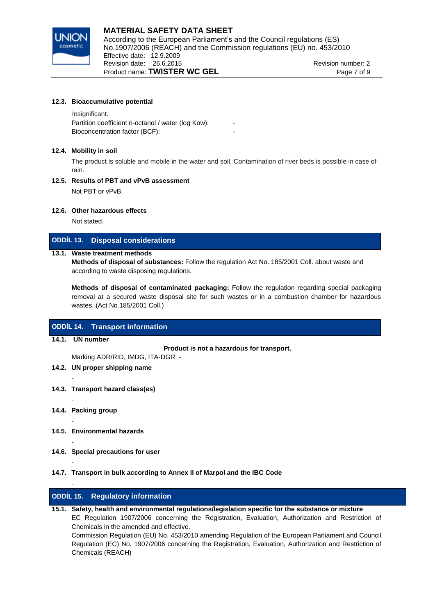

#### **12.3. Bioaccumulative potential**

 Insignificant. Partition coefficient n-octanol / water (log Kow): Bioconcentration factor (BCF):

#### **12.4. Mobility in soil**

The product is soluble and mobile in the water and soil. Contamination of river beds is possible in case of rain.

## **12.5. Results of PBT and vPvB assessment**

Not PBT or vPvB.

#### **12.6. Other hazardous effects**

Not stated.

## **ODDÍL 13. Disposal considerations**

## **13.1. Waste treatment methods**

**Methods of disposal of substances:** Follow the regulation Act No. 185/2001 Coll. about waste and according to waste disposing regulations.

**Methods of disposal of contaminated packaging:** Follow the regulation regarding special packaging removal at a secured waste disposal site for such wastes or in a combustion chamber for hazardous wastes. (Act No.185/2001 Coll.)

## **ODDÍL 14. Transport information**

## **14.1. UN number**

-

-

-

-

-

-

**Product is not a hazardous for transport.**

Marking ADR/RID, IMDG, ITA-DGR: -

- **14.2. UN proper shipping name**
- **14.3. Transport hazard class(es)**
- **14.4. Packing group**
- **14.5. Environmental hazards**
- **14.6. Special precautions for user**
- **14.7. Transport in bulk according to Annex II of Marpol and the IBC Code**

## **ODDÍL 15. Regulatory information**

**15.1. Safety, health and environmental regulations/legislation specific for the substance or mixture** EC Regulation 1907/2006 concerning the Registration, Evaluation, Authorization and Restriction of Chemicals in the amended and effective. Commission Regulation (EU) No. 453/2010 amending Regulation of the European Parliament and Council Regulation (EC) No. 1907/2006 concerning the Registration, Evaluation, Authorization and Restriction of Chemicals (REACH)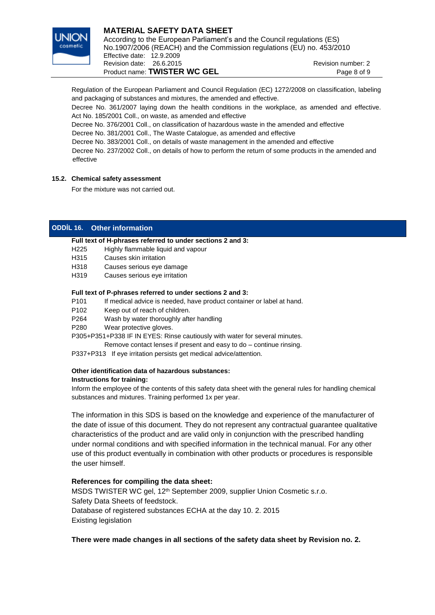

#### **MATERIAL SAFETY DATA SHEET** According to the European Parliament's and the Council regulations (ES) No.1907/2006 (REACH) and the Commission regulations (EU) no. 453/2010 Effective date: 12.9.2009 Revision date: 26.6.2015 Revision number: 2 Product name: **TWISTER WC GEL** Page 8 of 9

Regulation of the European Parliament and Council Regulation (EC) 1272/2008 on classification, labeling and packaging of substances and mixtures, the amended and effective.

Decree No. 361/2007 laying down the health conditions in the workplace, as amended and effective. Act No. 185/2001 Coll., on waste, as amended and effective

Decree No. 376/2001 Coll., on classification of hazardous waste in the amended and effective

Decree No. 381/2001 Coll., The Waste Catalogue, as amended and effective

Decree No. 383/2001 Coll., on details of waste management in the amended and effective

 Decree No. 237/2002 Coll., on details of how to perform the return of some products in the amended and effective

## **15.2. Chemical safety assessment**

For the mixture was not carried out.

## **ODDÍL 16. Other information**

## **Full text of H-phrases referred to under sections 2 and 3:**

- H225 Highly flammable liquid and vapour
- H315 Causes skin irritation
- H318 Causes serious eye damage
- H319 Causes serious eye irritation

## **Full text of P-phrases referred to under sections 2 and 3:**

- P101 If medical advice is needed, have product container or label at hand.
- P102 Keep out of reach of children.
- P264 Wash by water thoroughly after handling
- P280 Wear protective gloves.

P305+P351+P338 IF IN EYES: Rinse cautiously with water for several minutes.

- Remove contact lenses if present and easy to do continue rinsing.
- P337+P313 If eye irritation persists get medical advice/attention.

## **Other identification data of hazardous substances:**

## **Instructions for training:**

Inform the employee of the contents of this safety data sheet with the general rules for handling chemical substances and mixtures. Training performed 1x per year.

The information in this SDS is based on the knowledge and experience of the manufacturer of the date of issue of this document. They do not represent any contractual guarantee qualitative characteristics of the product and are valid only in conjunction with the prescribed handling under normal conditions and with specified information in the technical manual. For any other use of this product eventually in combination with other products or procedures is responsible the user himself.

## **References for compiling the data sheet:**

MSDS TWISTER WC gel, 12th September 2009, supplier Union Cosmetic s.r.o. Safety Data Sheets of feedstock. Database of registered substances ECHA at the day 10. 2. 2015 Existing legislation

**There were made changes in all sections of the safety data sheet by Revision no. 2.**